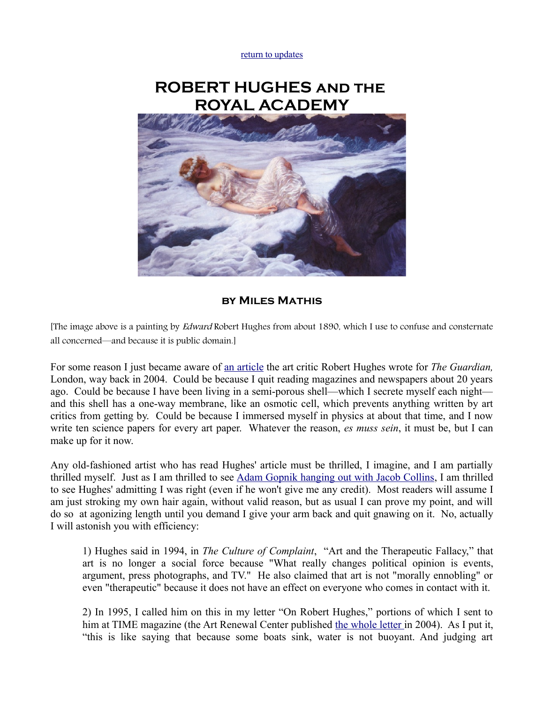[return to updates](http://mileswmathis.com/updates.html)

## **ROBERT HUGHES and the ROYAL ACADEMY**



## **by Miles Mathis**

[The image above is a painting by Edward Robert Hughes from about 1890, which I use to confuse and consternate all concerned—and because it is public domain.]

For some reason I just became aware of [an article](http://www.artsource.co.nz/RobertHughes-BurlingtonHouse.htm) the art critic Robert Hughes wrote for *The Guardian,* London, way back in 2004. Could be because I quit reading magazines and newspapers about 20 years ago. Could be because I have been living in a semi-porous shell—which I secrete myself each night and this shell has a one-way membrane, like an osmotic cell, which prevents anything written by art critics from getting by. Could be because I immersed myself in physics at about that time, and I now write ten science papers for every art paper. Whatever the reason, *es muss sein*, it must be, but I can make up for it now.

Any old-fashioned artist who has read Hughes' article must be thrilled, I imagine, and I am partially thrilled myself. Just as I am thrilled to see [Adam Gopnik hanging out with Jacob Collins,](http://www.newyorker.com/reporting/2011/06/27/110627fa_fact_gopnik) I am thrilled to see Hughes' admitting I was right (even if he won't give me any credit). Most readers will assume I am just stroking my own hair again, without valid reason, but as usual I can prove my point, and will do so at agonizing length until you demand I give your arm back and quit gnawing on it. No, actually I will astonish you with efficiency:

1) Hughes said in 1994, in *The Culture of Complaint*, "Art and the Therapeutic Fallacy," that art is no longer a social force because "What really changes political opinion is events, argument, press photographs, and TV." He also claimed that art is not "morally ennobling" or even "therapeutic" because it does not have an effect on everyone who comes in contact with it.

2) In 1995, I called him on this in my letter "On Robert Hughes," portions of which I sent to him at TIME magazine (the Art Renewal Center published [the whole letter i](http://mileswmathis.com/op14.html)n 2004). As I put it, "this is like saying that because some boats sink, water is not buoyant. And judging art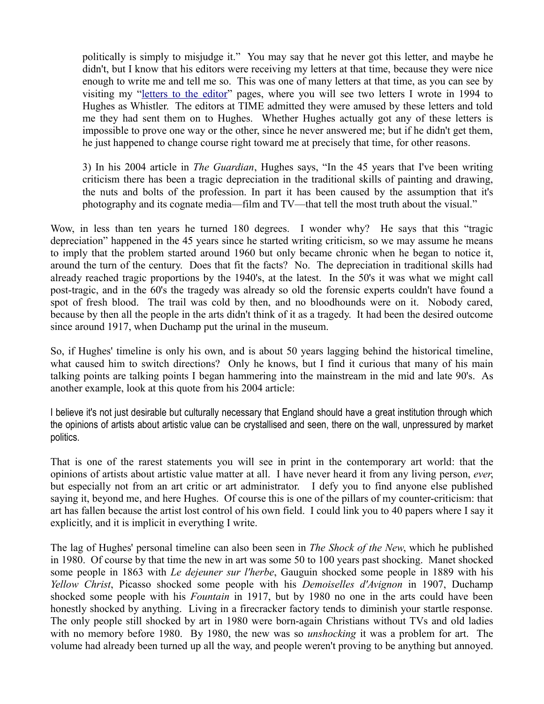politically is simply to misjudge it." You may say that he never got this letter, and maybe he didn't, but I know that his editors were receiving my letters at that time, because they were nice enough to write me and tell me so. This was one of many letters at that time, as you can see by visiting my ["letters to the editor"](http://mileswmathis.com/le.html) pages, where you will see two letters I wrote in 1994 to Hughes as Whistler. The editors at TIME admitted they were amused by these letters and told me they had sent them on to Hughes. Whether Hughes actually got any of these letters is impossible to prove one way or the other, since he never answered me; but if he didn't get them, he just happened to change course right toward me at precisely that time, for other reasons.

3) In his 2004 article in *The Guardian*, Hughes says, "In the 45 years that I've been writing criticism there has been a tragic depreciation in the traditional skills of painting and drawing, the nuts and bolts of the profession. In part it has been caused by the assumption that it's photography and its cognate media—film and TV—that tell the most truth about the visual."

Wow, in less than ten years he turned 180 degrees. I wonder why? He says that this "tragic depreciation" happened in the 45 years since he started writing criticism, so we may assume he means to imply that the problem started around 1960 but only became chronic when he began to notice it, around the turn of the century. Does that fit the facts? No. The depreciation in traditional skills had already reached tragic proportions by the 1940's, at the latest. In the 50's it was what we might call post-tragic, and in the 60's the tragedy was already so old the forensic experts couldn't have found a spot of fresh blood. The trail was cold by then, and no bloodhounds were on it. Nobody cared, because by then all the people in the arts didn't think of it as a tragedy. It had been the desired outcome since around 1917, when Duchamp put the urinal in the museum.

So, if Hughes' timeline is only his own, and is about 50 years lagging behind the historical timeline, what caused him to switch directions? Only he knows, but I find it curious that many of his main talking points are talking points I began hammering into the mainstream in the mid and late 90's. As another example, look at this quote from his 2004 article:

I believe it's not just desirable but culturally necessary that England should have a great institution through which the opinions of artists about artistic value can be crystallised and seen, there on the wall, unpressured by market politics.

That is one of the rarest statements you will see in print in the contemporary art world: that the opinions of artists about artistic value matter at all. I have never heard it from any living person, *ever*, but especially not from an art critic or art administrator. I defy you to find anyone else published saying it, beyond me, and here Hughes. Of course this is one of the pillars of my counter-criticism: that art has fallen because the artist lost control of his own field. I could link you to 40 papers where I say it explicitly, and it is implicit in everything I write.

The lag of Hughes' personal timeline can also been seen in *The Shock of the New*, which he published in 1980. Of course by that time the new in art was some 50 to 100 years past shocking. Manet shocked some people in 1863 with *Le dejeuner sur l'herbe*, Gauguin shocked some people in 1889 with his *Yellow Christ*, Picasso shocked some people with his *Demoiselles d'Avignon* in 1907, Duchamp shocked some people with his *Fountain* in 1917, but by 1980 no one in the arts could have been honestly shocked by anything. Living in a firecracker factory tends to diminish your startle response. The only people still shocked by art in 1980 were born-again Christians without TVs and old ladies with no memory before 1980. By 1980, the new was so *unshocking* it was a problem for art. The volume had already been turned up all the way, and people weren't proving to be anything but annoyed.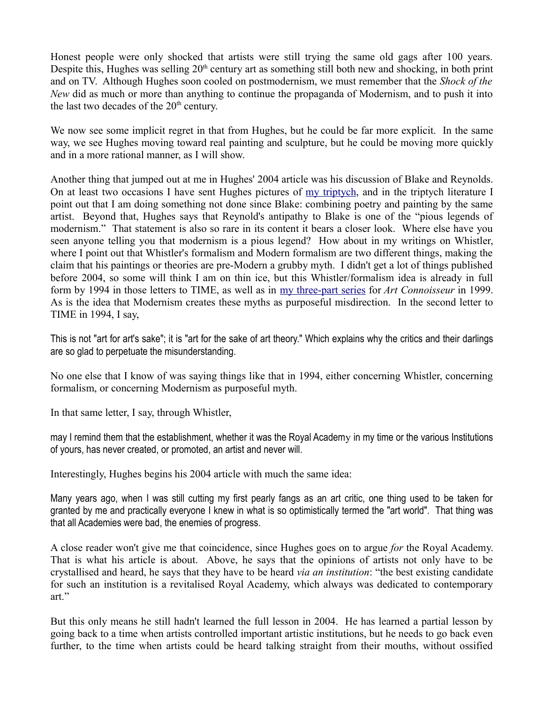Honest people were only shocked that artists were still trying the same old gags after 100 years. Despite this, Hughes was selling  $20<sup>th</sup>$  century art as something still both new and shocking, in both print and on TV. Although Hughes soon cooled on postmodernism, we must remember that the *Shock of the New* did as much or more than anything to continue the propaganda of Modernism, and to push it into the last two decades of the  $20<sup>th</sup>$  century.

We now see some implicit regret in that from Hughes, but he could be far more explicit. In the same way, we see Hughes moving toward real painting and sculpture, but he could be moving more quickly and in a more rational manner, as I will show.

Another thing that jumped out at me in Hughes' 2004 article was his discussion of Blake and Reynolds. On at least two occasions I have sent Hughes pictures of [my triptych,](http://mileswmathis.com/triptych1.html) and in the triptych literature I point out that I am doing something not done since Blake: combining poetry and painting by the same artist. Beyond that, Hughes says that Reynold's antipathy to Blake is one of the "pious legends of modernism." That statement is also so rare in its content it bears a closer look. Where else have you seen anyone telling you that modernism is a pious legend? How about in my writings on Whistler, where I point out that Whistler's formalism and Modern formalism are two different things, making the claim that his paintings or theories are pre-Modern a grubby myth. I didn't get a lot of things published before 2004, so some will think I am on thin ice, but this Whistler/formalism idea is already in full form by 1994 in those letters to TIME, as well as in [my three-part series](http://mileswmathis.com/future.html) for *Art Connoisseur* in 1999. As is the idea that Modernism creates these myths as purposeful misdirection. In the second letter to TIME in 1994, I say,

This is not "art for art's sake"; it is "art for the sake of art theory." Which explains why the critics and their darlings are so glad to perpetuate the misunderstanding.

No one else that I know of was saying things like that in 1994, either concerning Whistler, concerning formalism, or concerning Modernism as purposeful myth.

In that same letter, I say, through Whistler,

may I remind them that the establishment, whether it was the Royal Academy in my time or the various Institutions of yours, has never created, or promoted, an artist and never will.

Interestingly, Hughes begins his 2004 article with much the same idea:

Many years ago, when I was still cutting my first pearly fangs as an art critic, one thing used to be taken for granted by me and practically everyone I knew in what is so optimistically termed the "art world". That thing was that all Academies were bad, the enemies of progress.

A close reader won't give me that coincidence, since Hughes goes on to argue *for* the Royal Academy. That is what his article is about. Above, he says that the opinions of artists not only have to be crystallised and heard, he says that they have to be heard *via an institution*: "the best existing candidate for such an institution is a revitalised Royal Academy, which always was dedicated to contemporary art."

But this only means he still hadn't learned the full lesson in 2004. He has learned a partial lesson by going back to a time when artists controlled important artistic institutions, but he needs to go back even further, to the time when artists could be heard talking straight from their mouths, without ossified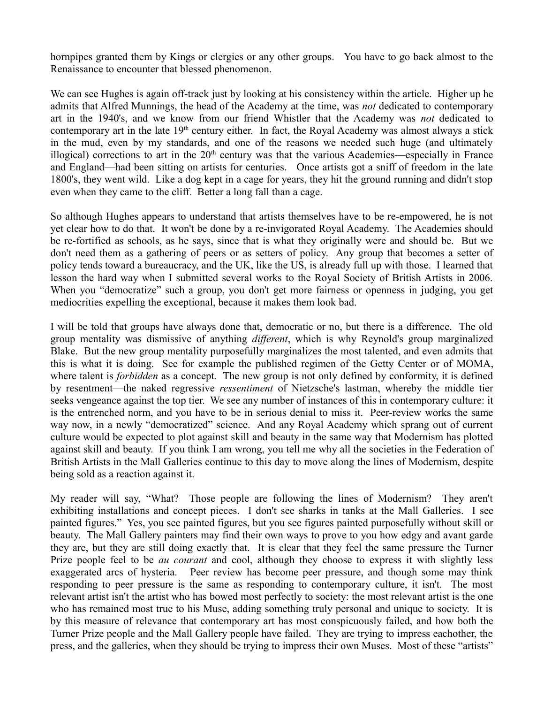hornpipes granted them by Kings or clergies or any other groups. You have to go back almost to the Renaissance to encounter that blessed phenomenon.

We can see Hughes is again off-track just by looking at his consistency within the article. Higher up he admits that Alfred Munnings, the head of the Academy at the time, was *not* dedicated to contemporary art in the 1940's, and we know from our friend Whistler that the Academy was *not* dedicated to contemporary art in the late  $19<sup>th</sup>$  century either. In fact, the Royal Academy was almost always a stick in the mud, even by my standards, and one of the reasons we needed such huge (and ultimately illogical) corrections to art in the  $20<sup>th</sup>$  century was that the various Academies—especially in France and England—had been sitting on artists for centuries. Once artists got a sniff of freedom in the late 1800's, they went wild. Like a dog kept in a cage for years, they hit the ground running and didn't stop even when they came to the cliff. Better a long fall than a cage.

So although Hughes appears to understand that artists themselves have to be re-empowered, he is not yet clear how to do that. It won't be done by a re-invigorated Royal Academy. The Academies should be re-fortified as schools, as he says, since that is what they originally were and should be. But we don't need them as a gathering of peers or as setters of policy. Any group that becomes a setter of policy tends toward a bureaucracy, and the UK, like the US, is already full up with those. I learned that lesson the hard way when I submitted several works to the Royal Society of British Artists in 2006. When you "democratize" such a group, you don't get more fairness or openness in judging, you get mediocrities expelling the exceptional, because it makes them look bad.

I will be told that groups have always done that, democratic or no, but there is a difference. The old group mentality was dismissive of anything *different*, which is why Reynold's group marginalized Blake. But the new group mentality purposefully marginalizes the most talented, and even admits that this is what it is doing. See for example the published regimen of the Getty Center or of MOMA, where talent is *forbidden* as a concept. The new group is not only defined by conformity, it is defined by resentment—the naked regressive *ressentiment* of Nietzsche's lastman, whereby the middle tier seeks vengeance against the top tier. We see any number of instances of this in contemporary culture: it is the entrenched norm, and you have to be in serious denial to miss it. Peer-review works the same way now, in a newly "democratized" science. And any Royal Academy which sprang out of current culture would be expected to plot against skill and beauty in the same way that Modernism has plotted against skill and beauty. If you think I am wrong, you tell me why all the societies in the Federation of British Artists in the Mall Galleries continue to this day to move along the lines of Modernism, despite being sold as a reaction against it.

My reader will say, "What? Those people are following the lines of Modernism? They aren't exhibiting installations and concept pieces. I don't see sharks in tanks at the Mall Galleries. I see painted figures." Yes, you see painted figures, but you see figures painted purposefully without skill or beauty. The Mall Gallery painters may find their own ways to prove to you how edgy and avant garde they are, but they are still doing exactly that. It is clear that they feel the same pressure the Turner Prize people feel to be *au courant* and cool, although they choose to express it with slightly less exaggerated arcs of hysteria. Peer review has become peer pressure, and though some may think responding to peer pressure is the same as responding to contemporary culture, it isn't. The most relevant artist isn't the artist who has bowed most perfectly to society: the most relevant artist is the one who has remained most true to his Muse, adding something truly personal and unique to society. It is by this measure of relevance that contemporary art has most conspicuously failed, and how both the Turner Prize people and the Mall Gallery people have failed. They are trying to impress eachother, the press, and the galleries, when they should be trying to impress their own Muses. Most of these "artists"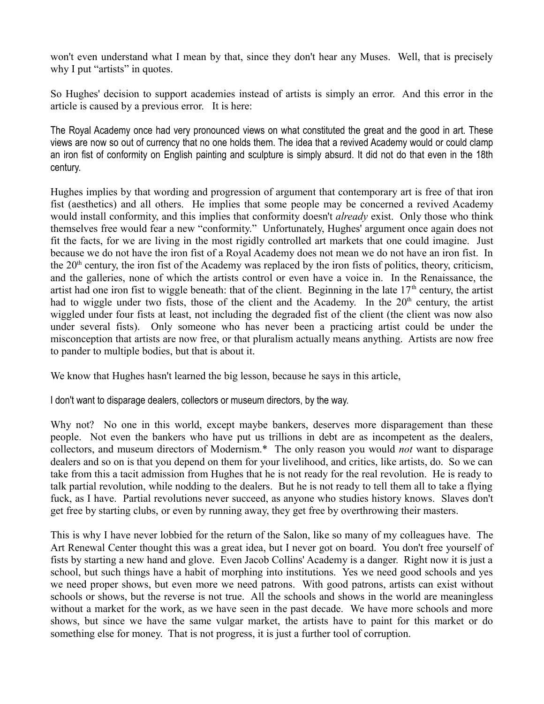won't even understand what I mean by that, since they don't hear any Muses. Well, that is precisely why I put "artists" in quotes.

So Hughes' decision to support academies instead of artists is simply an error. And this error in the article is caused by a previous error. It is here:

The Royal Academy once had very pronounced views on what constituted the great and the good in art. These views are now so out of currency that no one holds them. The idea that a revived Academy would or could clamp an iron fist of conformity on English painting and sculpture is simply absurd. It did not do that even in the 18th century.

Hughes implies by that wording and progression of argument that contemporary art is free of that iron fist (aesthetics) and all others. He implies that some people may be concerned a revived Academy would install conformity, and this implies that conformity doesn't *already* exist. Only those who think themselves free would fear a new "conformity." Unfortunately, Hughes' argument once again does not fit the facts, for we are living in the most rigidly controlled art markets that one could imagine. Just because we do not have the iron fist of a Royal Academy does not mean we do not have an iron fist. In the  $20<sup>th</sup>$  century, the iron fist of the Academy was replaced by the iron fists of politics, theory, criticism, and the galleries, none of which the artists control or even have a voice in. In the Renaissance, the artist had one iron fist to wiggle beneath: that of the client. Beginning in the late  $17<sup>th</sup>$  century, the artist had to wiggle under two fists, those of the client and the Academy. In the 20<sup>th</sup> century, the artist wiggled under four fists at least, not including the degraded fist of the client (the client was now also under several fists). Only someone who has never been a practicing artist could be under the misconception that artists are now free, or that pluralism actually means anything. Artists are now free to pander to multiple bodies, but that is about it.

We know that Hughes hasn't learned the big lesson, because he says in this article,

I don't want to disparage dealers, collectors or museum directors, by the way.

Why not? No one in this world, except maybe bankers, deserves more disparagement than these people. Not even the bankers who have put us trillions in debt are as incompetent as the dealers, collectors, and museum directors of Modernism.\* The only reason you would *not* want to disparage dealers and so on is that you depend on them for your livelihood, and critics, like artists, do. So we can take from this a tacit admission from Hughes that he is not ready for the real revolution. He is ready to talk partial revolution, while nodding to the dealers. But he is not ready to tell them all to take a flying fuck, as I have. Partial revolutions never succeed, as anyone who studies history knows. Slaves don't get free by starting clubs, or even by running away, they get free by overthrowing their masters.

This is why I have never lobbied for the return of the Salon, like so many of my colleagues have. The Art Renewal Center thought this was a great idea, but I never got on board. You don't free yourself of fists by starting a new hand and glove. Even Jacob Collins' Academy is a danger. Right now it is just a school, but such things have a habit of morphing into institutions. Yes we need good schools and yes we need proper shows, but even more we need patrons. With good patrons, artists can exist without schools or shows, but the reverse is not true. All the schools and shows in the world are meaningless without a market for the work, as we have seen in the past decade. We have more schools and more shows, but since we have the same vulgar market, the artists have to paint for this market or do something else for money. That is not progress, it is just a further tool of corruption.